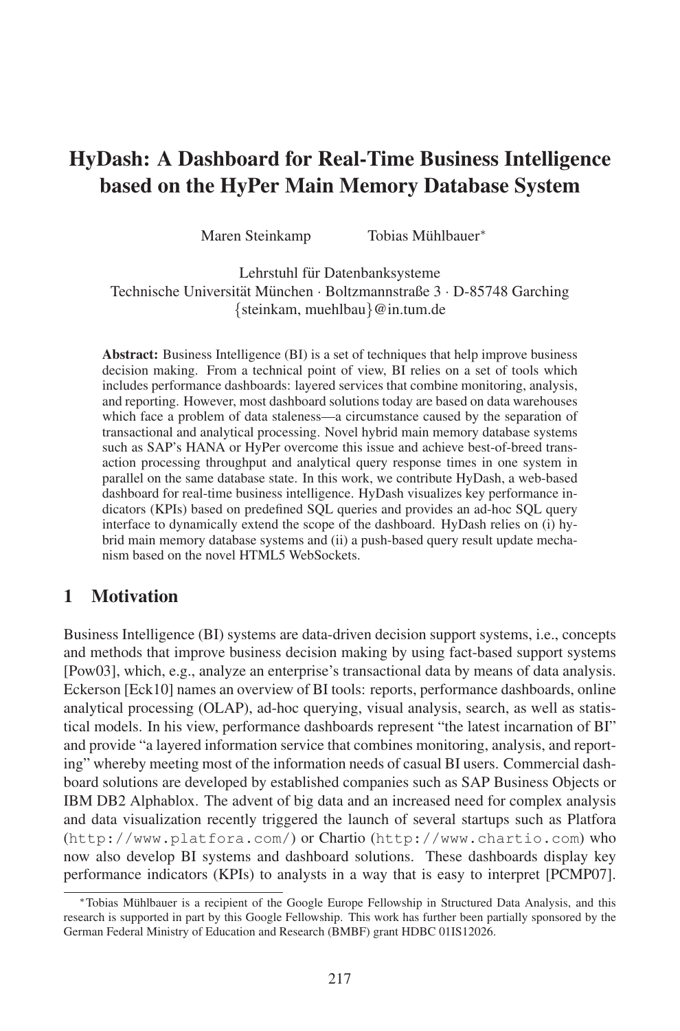# HyDash: A Dashboard for Real-Time Business Intelligence based on the HyPer Main Memory Database System

Maren Steinkamp Tobias Mühlbauer\*

Lehrstuhl für Datenbanksysteme Technische Universität München · Boltzmannstraße 3 · D-85748 Garching {steinkam, muehlbau}@in.tum.de

Abstract: Business Intelligence (BI) is a set of techniques that help improve business decision making. From a technical point of view, BI relies on a set of tools which includes performance dashboards: layered services that combine monitoring, analysis, and reporting. However, most dashboard solutions today are based on data warehouses which face a problem of data staleness—a circumstance caused by the separation of transactional and analytical processing. Novel hybrid main memory database systems such as SAP's HANA or HyPer overcome this issue and achieve best-of-breed transaction processing throughput and analytical query response times in one system in parallel on the same database state. In this work, we contribute HyDash, a web-based dashboard for real-time business intelligence. HyDash visualizes key performance indicators (KPIs) based on predefined SQL queries and provides an ad-hoc SQL query interface to dynamically extend the scope of the dashboard. HyDash relies on (i) hybrid main memory database systems and (ii) a push-based query result update mechanism based on the novel HTML5 WebSockets.

#### 1 Motivation

Business Intelligence (BI) systems are data-driven decision support systems, i.e., concepts and methods that improve business decision making by using fact-based support systems [Pow03], which, e.g., analyze an enterprise's transactional data by means of data analysis. Eckerson [Eck10] names an overview of BI tools: reports, performance dashboards, online analytical processing (OLAP), ad-hoc querying, visual analysis, search, as well as statistical models. In his view, performance dashboards represent "the latest incarnation of BI" and provide "a layered information service that combines monitoring, analysis, and reporting" whereby meeting most of the information needs of casual BI users. Commercial dashboard solutions are developed by established companies such as SAP Business Objects or IBM DB2 Alphablox. The advent of big data and an increased need for complex analysis and data visualization recently triggered the launch of several startups such as Platfora (http://www.platfora.com/) or Chartio (http://www.chartio.com) who now also develop BI systems and dashboard solutions. These dashboards display key performance indicators (KPIs) to analysts in a way that is easy to interpret [PCMP07].

<sup>\*</sup>Tobias Mühlbauer is a recipient of the Google Europe Fellowship in Structured Data Analysis, and this research is supported in part by this Google Fellowship. This work has further been partially sponsored by the German Federal Ministry of Education and Research (BMBF) grant HDBC 01IS12026.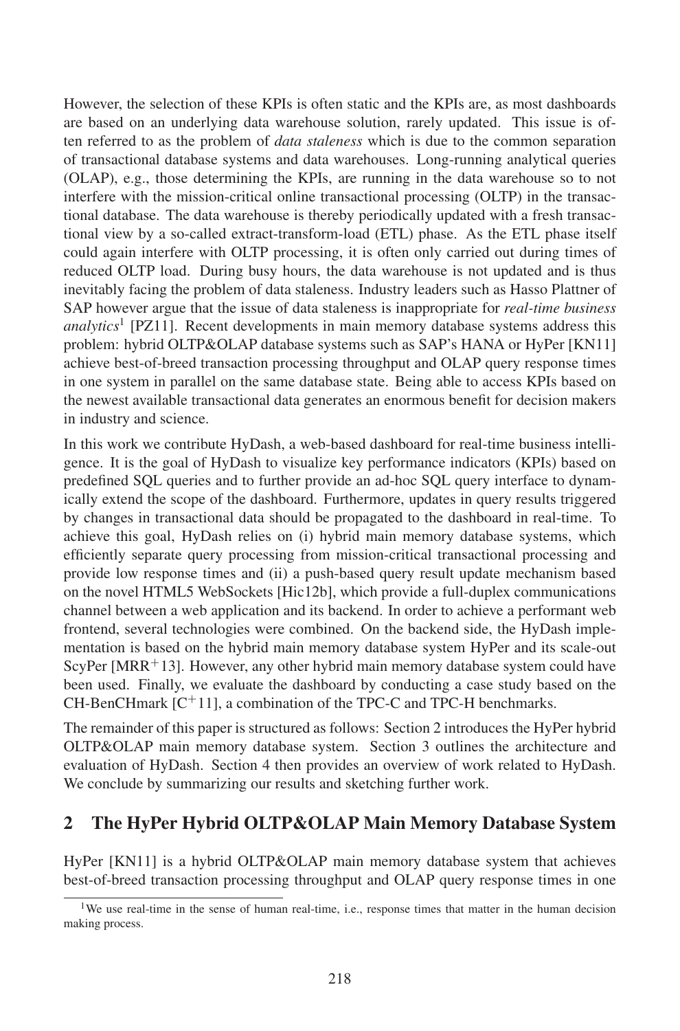However, the selection of these KPIs is often static and the KPIs are, as most dashboards are based on an underlying data warehouse solution, rarely updated. This issue is often referred to as the problem of *data staleness* which is due to the common separation of transactional database systems and data warehouses. Long-running analytical queries (OLAP), e.g., those determining the KPIs, are running in the data warehouse so to not interfere with the mission-critical online transactional processing (OLTP) in the transactional database. The data warehouse is thereby periodically updated with a fresh transactional view by a so-called extract-transform-load (ETL) phase. As the ETL phase itself could again interfere with OLTP processing, it is often only carried out during times of reduced OLTP load. During busy hours, the data warehouse is not updated and is thus inevitably facing the problem of data staleness. Industry leaders such as Hasso Plattner of SAP however argue that the issue of data staleness is inappropriate for *real-time business analytics*<sup>1</sup> [PZ11]. Recent developments in main memory database systems address this problem: hybrid OLTP&OLAP database systems such as SAP's HANA or HyPer [KN11] achieve best-of-breed transaction processing throughput and OLAP query response times in one system in parallel on the same database state. Being able to access KPIs based on the newest available transactional data generates an enormous benefit for decision makers in industry and science.

In this work we contribute HyDash, a web-based dashboard for real-time business intelligence. It is the goal of HyDash to visualize key performance indicators (KPIs) based on predefined SQL queries and to further provide an ad-hoc SQL query interface to dynamically extend the scope of the dashboard. Furthermore, updates in query results triggered by changes in transactional data should be propagated to the dashboard in real-time. To achieve this goal, HyDash relies on (i) hybrid main memory database systems, which efficiently separate query processing from mission-critical transactional processing and provide low response times and (ii) a push-based query result update mechanism based on the novel HTML5 WebSockets [Hic12b], which provide a full-duplex communications channel between a web application and its backend. In order to achieve a performant web frontend, several technologies were combined. On the backend side, the HyDash implementation is based on the hybrid main memory database system HyPer and its scale-out ScyPer  $[MRR+13]$ . However, any other hybrid main memory database system could have been used. Finally, we evaluate the dashboard by conducting a case study based on the CH-BenCHmark  $[C+11]$ , a combination of the TPC-C and TPC-H benchmarks.

The remainder of this paper is structured as follows: Section 2 introduces the HyPer hybrid OLTP&OLAP main memory database system. Section 3 outlines the architecture and evaluation of HyDash. Section 4 then provides an overview of work related to HyDash. We conclude by summarizing our results and sketching further work.

#### 2 The HyPer Hybrid OLTP&OLAP Main Memory Database System

HyPer [KN11] is a hybrid OLTP&OLAP main memory database system that achieves best-of-breed transaction processing throughput and OLAP query response times in one

<sup>&</sup>lt;sup>1</sup>We use real-time in the sense of human real-time, i.e., response times that matter in the human decision making process.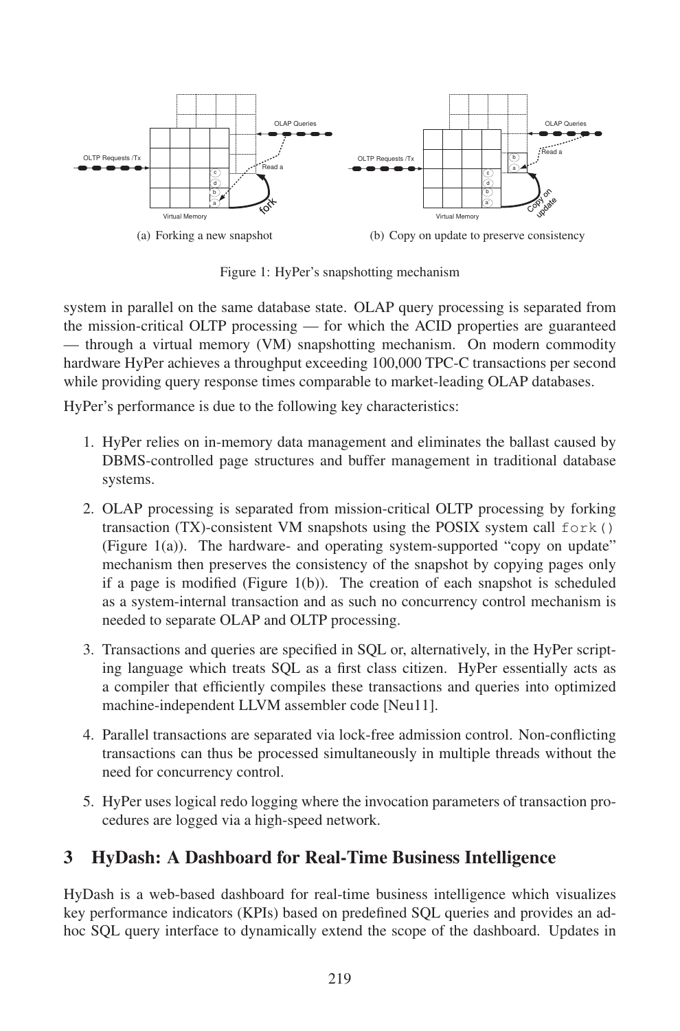

Figure 1: HyPer's snapshotting mechanism

system in parallel on the same database state. OLAP query processing is separated from the mission-critical OLTP processing — for which the ACID properties are guaranteed — through a virtual memory (VM) snapshotting mechanism. On modern commodity hardware HyPer achieves a throughput exceeding 100,000 TPC-C transactions per second while providing query response times comparable to market-leading OLAP databases.

HyPer's performance is due to the following key characteristics:

- 1. HyPer relies on in-memory data management and eliminates the ballast caused by DBMS-controlled page structures and buffer management in traditional database systems.
- 2. OLAP processing is separated from mission-critical OLTP processing by forking transaction (TX)-consistent VM snapshots using the POSIX system call  $f \circ r k$  () (Figure 1(a)). The hardware- and operating system-supported "copy on update" mechanism then preserves the consistency of the snapshot by copying pages only if a page is modified (Figure  $1(b)$ ). The creation of each snapshot is scheduled as a system-internal transaction and as such no concurrency control mechanism is needed to separate OLAP and OLTP processing.
- 3. Transactions and queries are specified in SQL or, alternatively, in the HyPer scripting language which treats SQL as a first class citizen. HyPer essentially acts as a compiler that efficiently compiles these transactions and queries into optimized machine-independent LLVM assembler code [Neu11].
- 4. Parallel transactions are separated via lock-free admission control. Non-conflicting transactions can thus be processed simultaneously in multiple threads without the need for concurrency control.
- 5. HyPer uses logical redo logging where the invocation parameters of transaction procedures are logged via a high-speed network.

# 3 HyDash: A Dashboard for Real-Time Business Intelligence

HyDash is a web-based dashboard for real-time business intelligence which visualizes key performance indicators (KPIs) based on predefined SQL queries and provides an adhoc SQL query interface to dynamically extend the scope of the dashboard. Updates in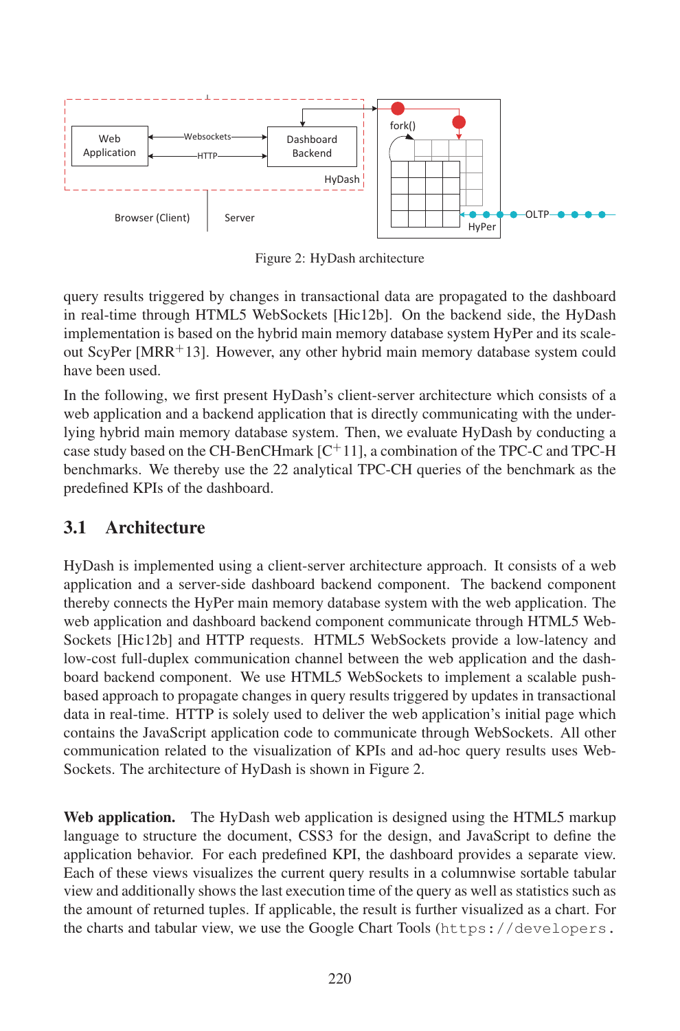

Figure 2: HyDash architecture

query results triggered by changes in transactional data are propagated to the dashboard in real-time through HTML5 WebSockets [Hic12b]. On the backend side, the HyDash implementation is based on the hybrid main memory database system HyPer and its scaleout ScyPer  $[MRR^+13]$ . However, any other hybrid main memory database system could have been used.

In the following, we first present HyDash's client-server architecture which consists of a web application and a backend application that is directly communicating with the underlying hybrid main memory database system. Then, we evaluate HyDash by conducting a case study based on the CH-BenCHmark  $\lbrack C^{+}11 \rbrack$ , a combination of the TPC-C and TPC-H benchmarks. We thereby use the 22 analytical TPC-CH queries of the benchmark as the predefined KPIs of the dashboard.

# 3.1 Architecture

HyDash is implemented using a client-server architecture approach. It consists of a web application and a server-side dashboard backend component. The backend component thereby connects the HyPer main memory database system with the web application. The web application and dashboard backend component communicate through HTML5 Web-Sockets [Hic12b] and HTTP requests. HTML5 WebSockets provide a low-latency and low-cost full-duplex communication channel between the web application and the dashboard backend component. We use HTML5 WebSockets to implement a scalable pushbased approach to propagate changes in query results triggered by updates in transactional data in real-time. HTTP is solely used to deliver the web application's initial page which contains the JavaScript application code to communicate through WebSockets. All other communication related to the visualization of KPIs and ad-hoc query results uses Web-Sockets. The architecture of HyDash is shown in Figure 2.

Web application. The HyDash web application is designed using the HTML5 markup language to structure the document, CSS3 for the design, and JavaScript to define the application behavior. For each predefined KPI, the dashboard provides a separate view. Each of these views visualizes the current query results in a columnwise sortable tabular view and additionally shows the last execution time of the query as well as statistics such as the amount of returned tuples. If applicable, the result is further visualized as a chart. For the charts and tabular view, we use the Google Chart Tools (https://developers.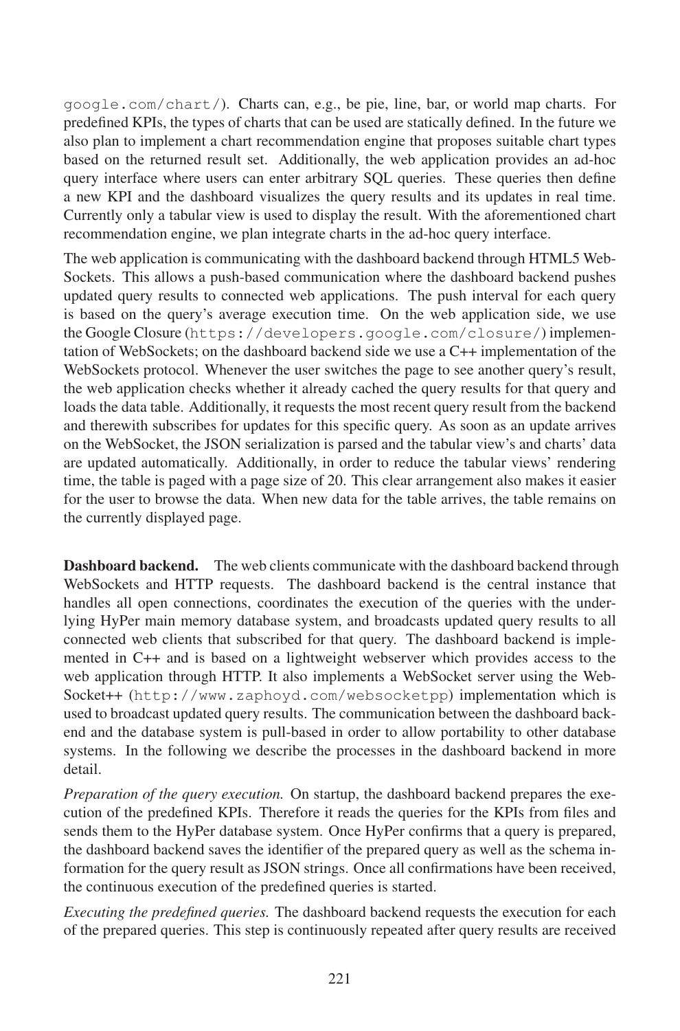google.com/chart/). Charts can, e.g., be pie, line, bar, or world map charts. For predefined KPIs, the types of charts that can be used are statically defined. In the future we also plan to implement a chart recommendation engine that proposes suitable chart types based on the returned result set. Additionally, the web application provides an ad-hoc query interface where users can enter arbitrary SQL queries. These queries then define a new KPI and the dashboard visualizes the query results and its updates in real time. Currently only a tabular view is used to display the result. With the aforementioned chart recommendation engine, we plan integrate charts in the ad-hoc query interface.

The web application is communicating with the dashboard backend through HTML5 Web-Sockets. This allows a push-based communication where the dashboard backend pushes updated query results to connected web applications. The push interval for each query is based on the query's average execution time. On the web application side, we use the Google Closure (https://developers.google.com/closure/) implementation of WebSockets; on the dashboard backend side we use a C++ implementation of the WebSockets protocol. Whenever the user switches the page to see another query's result, the web application checks whether it already cached the query results for that query and loads the data table. Additionally, it requests the most recent query result from the backend and therewith subscribes for updates for this specific query. As soon as an update arrives on the WebSocket, the JSON serialization is parsed and the tabular view's and charts' data are updated automatically. Additionally, in order to reduce the tabular views' rendering time, the table is paged with a page size of 20. This clear arrangement also makes it easier for the user to browse the data. When new data for the table arrives, the table remains on the currently displayed page.

**Dashboard backend.** The web clients communicate with the dashboard backend through WebSockets and HTTP requests. The dashboard backend is the central instance that handles all open connections, coordinates the execution of the queries with the underlying HyPer main memory database system, and broadcasts updated query results to all connected web clients that subscribed for that query. The dashboard backend is implemented in C++ and is based on a lightweight webserver which provides access to the web application through HTTP. It also implements a WebSocket server using the Web-Socket++ (http://www.zaphoyd.com/websocketpp) implementation which is used to broadcast updated query results. The communication between the dashboard backend and the database system is pull-based in order to allow portability to other database systems. In the following we describe the processes in the dashboard backend in more detail.

*Preparation of the query execution.* On startup, the dashboard backend prepares the execution of the predefined KPIs. Therefore it reads the queries for the KPIs from files and sends them to the HyPer database system. Once HyPer confirms that a query is prepared, the dashboard backend saves the identifier of the prepared query as well as the schema information for the query result as JSON strings. Once all confirmations have been received, the continuous execution of the predefined queries is started.

*Executing the predefined queries.* The dashboard backend requests the execution for each of the prepared queries. This step is continuously repeated after query results are received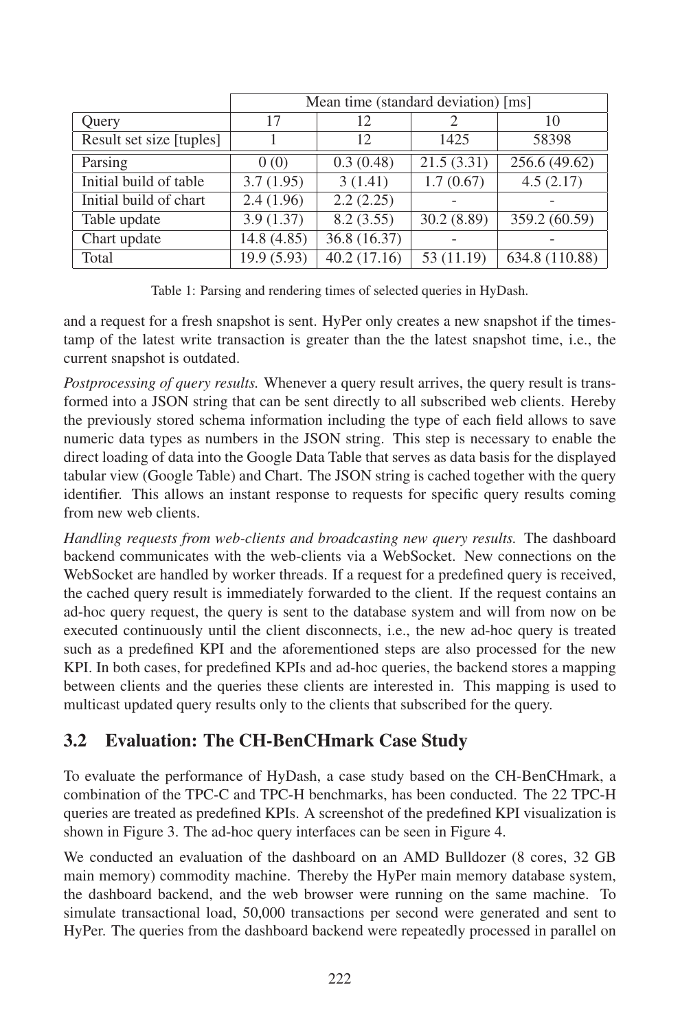|                          | Mean time (standard deviation) [ms] |             |            |                |  |  |  |
|--------------------------|-------------------------------------|-------------|------------|----------------|--|--|--|
| Query                    | 17                                  | 12          |            | 10             |  |  |  |
| Result set size [tuples] |                                     | 12          | 1425       | 58398          |  |  |  |
| Parsing                  | 0(0)                                | 0.3(0.48)   | 21.5(3.31) | 256.6 (49.62)  |  |  |  |
| Initial build of table   | 3.7(1.95)                           | 3(1.41)     | 1.7(0.67)  | 4.5(2.17)      |  |  |  |
| Initial build of chart   | 2.4(1.96)                           | 2.2(2.25)   |            |                |  |  |  |
| Table update             | 3.9(1.37)                           | 8.2(3.55)   | 30.2(8.89) | 359.2 (60.59)  |  |  |  |
| Chart update             | 14.8 (4.85)                         | 36.8(16.37) |            |                |  |  |  |
| Total                    | 19.9 (5.93)                         | 40.2(17.16) | 53 (11.19) | 634.8 (110.88) |  |  |  |

Table 1: Parsing and rendering times of selected queries in HyDash.

and a request for a fresh snapshot is sent. HyPer only creates a new snapshot if the timestamp of the latest write transaction is greater than the the latest snapshot time, i.e., the current snapshot is outdated.

*Postprocessing of query results.* Whenever a query result arrives, the query result is transformed into a JSON string that can be sent directly to all subscribed web clients. Hereby the previously stored schema information including the type of each field allows to save numeric data types as numbers in the JSON string. This step is necessary to enable the direct loading of data into the Google Data Table that serves as data basis for the displayed tabular view (Google Table) and Chart. The JSON string is cached together with the query identifier. This allows an instant response to requests for specific query results coming from new web clients.

*Handling requests from web-clients and broadcasting new query results.* The dashboard backend communicates with the web-clients via a WebSocket. New connections on the WebSocket are handled by worker threads. If a request for a predefined query is received, the cached query result is immediately forwarded to the client. If the request contains an ad-hoc query request, the query is sent to the database system and will from now on be executed continuously until the client disconnects, i.e., the new ad-hoc query is treated such as a predefined KPI and the aforementioned steps are also processed for the new KPI. In both cases, for predefined KPIs and ad-hoc queries, the backend stores a mapping between clients and the queries these clients are interested in. This mapping is used to multicast updated query results only to the clients that subscribed for the query.

# 3.2 Evaluation: The CH-BenCHmark Case Study

To evaluate the performance of HyDash, a case study based on the CH-BenCHmark, a combination of the TPC-C and TPC-H benchmarks, has been conducted. The 22 TPC-H queries are treated as predefined KPIs. A screenshot of the predefined KPI visualization is shown in Figure 3. The ad-hoc query interfaces can be seen in Figure 4.

We conducted an evaluation of the dashboard on an AMD Bulldozer (8 cores, 32 GB main memory) commodity machine. Thereby the HyPer main memory database system, the dashboard backend, and the web browser were running on the same machine. To simulate transactional load, 50,000 transactions per second were generated and sent to HyPer. The queries from the dashboard backend were repeatedly processed in parallel on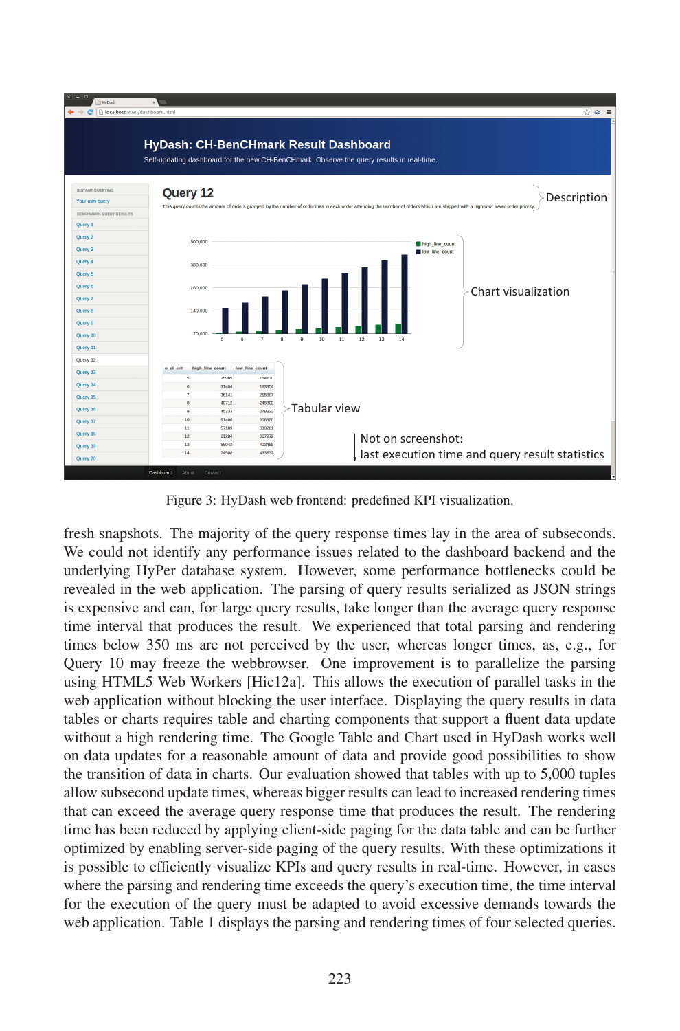

Figure 3: HyDash web frontend: predefined KPI visualization.

fresh snapshots. The majority of the query response times lay in the area of subseconds. We could not identify any performance issues related to the dashboard backend and the underlying HyPer database system. However, some performance bottlenecks could be revealed in the web application. The parsing of query results serialized as JSON strings is expensive and can, for large query results, take longer than the average query response time interval that produces the result. We experienced that total parsing and rendering times below 350 ms are not perceived by the user, whereas longer times, as, e.g., for Query 10 may freeze the webbrowser. One improvement is to parallelize the parsing using HTML5 Web Workers [Hic12a]. This allows the execution of parallel tasks in the web application without blocking the user interface. Displaying the query results in data tables or charts requires table and charting components that support a fluent data update without a high rendering time. The Google Table and Chart used in HyDash works well on data updates for a reasonable amount of data and provide good possibilities to show the transition of data in charts. Our evaluation showed that tables with up to 5,000 tuples allow subsecond update times, whereas bigger results can lead to increased rendering times that can exceed the average query response time that produces the result. The rendering time has been reduced by applying client-side paging for the data table and can be further optimized by enabling server-side paging of the query results. With these optimizations it is possible to efficiently visualize KPIs and query results in real-time. However, in cases where the parsing and rendering time exceeds the query's execution time, the time interval for the execution of the query must be adapted to avoid excessive demands towards the web application. Table 1 displays the parsing and rendering times of four selected queries.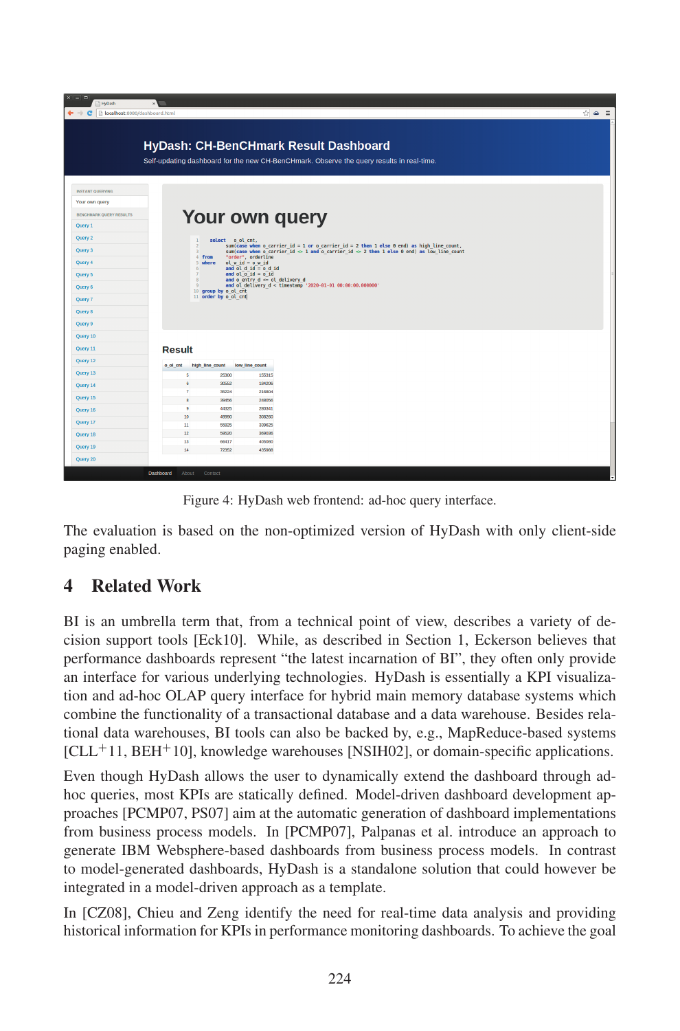| $x = n$<br><sup>9</sup> HyDash        |                     |                                           |                                                                        |                                                                                                                                                                                                                          |       |
|---------------------------------------|---------------------|-------------------------------------------|------------------------------------------------------------------------|--------------------------------------------------------------------------------------------------------------------------------------------------------------------------------------------------------------------------|-------|
| ← → C   hocalhost:8080/dashboard.html |                     |                                           |                                                                        |                                                                                                                                                                                                                          | ☆ ≏ ≣ |
|                                       |                     |                                           |                                                                        | HyDash: CH-BenCHmark Result Dashboard<br>Self-updating dashboard for the new CH-BenCHmark. Observe the query results in real-time.                                                                                       |       |
| <b>INSTANT OUERYING</b>               |                     |                                           |                                                                        |                                                                                                                                                                                                                          |       |
| Your own query                        |                     |                                           |                                                                        |                                                                                                                                                                                                                          |       |
| <b>BENCHMARK QUERY RESULTS</b>        |                     |                                           |                                                                        | Your own query                                                                                                                                                                                                           |       |
| Query 1                               |                     |                                           |                                                                        |                                                                                                                                                                                                                          |       |
| Query 2                               |                     |                                           | select o ol cnt,                                                       |                                                                                                                                                                                                                          |       |
| Query 3                               |                     | $\overline{z}$<br>$\overline{\mathbf{3}}$ |                                                                        | $sum (case when o carrier id = 1 or o carrier id = 2 then 1 else 0 end) as high line count,$<br>sum(case when o carrier $id \Leftrightarrow 1$ and o carrier $id \Leftrightarrow 2$ then 1 else 0 end) as low line count |       |
| Query 4                               |                     | 4 from<br>5 where                         | "order", orderline<br>ol $w$ id = $o$ $w$ id<br>and $01 d 1d = 0 d 1d$ |                                                                                                                                                                                                                          |       |
| Query 5                               |                     | 6<br>8                                    | and $ol$ $ol$ $id$ = $ol$ $id$<br>and o entry $d \leq o l$ delivery d  |                                                                                                                                                                                                                          |       |
| Query 6                               |                     | $\Omega$<br>10 group by o ol cnt          |                                                                        | and ol delivery d < timestamp '2020-01-01 00:00:00.000000'                                                                                                                                                               |       |
| Query 7                               |                     | 11 order by o ol cnt                      |                                                                        |                                                                                                                                                                                                                          |       |
| <b>Ouery 8</b>                        |                     |                                           |                                                                        |                                                                                                                                                                                                                          |       |
| Query 9                               |                     |                                           |                                                                        |                                                                                                                                                                                                                          |       |
| Query 10                              |                     |                                           |                                                                        |                                                                                                                                                                                                                          |       |
| Query 11                              | <b>Result</b>       |                                           |                                                                        |                                                                                                                                                                                                                          |       |
| Query 12                              | o ol cnt            | high line count                           | low line count                                                         |                                                                                                                                                                                                                          |       |
| Query 13                              | 5                   | 25300                                     | 155315                                                                 |                                                                                                                                                                                                                          |       |
| Query 14                              | 6<br>$\overline{7}$ | 30552<br>35224                            | 184206<br>216804                                                       |                                                                                                                                                                                                                          |       |
| Query 15                              | 8                   | 39456                                     | 248056                                                                 |                                                                                                                                                                                                                          |       |
| Query 16                              | $\overline{9}$      | 44325                                     | 280341                                                                 |                                                                                                                                                                                                                          |       |
| Query 17                              | 10<br>11            | 49990<br>55825                            | 308260<br>339625                                                       |                                                                                                                                                                                                                          |       |
| Query 18                              | 12                  | 59520                                     | 369036                                                                 |                                                                                                                                                                                                                          |       |
| Ouery 19                              | 13<br>14            | 66417<br>72352                            | 405080<br>435988                                                       |                                                                                                                                                                                                                          |       |
| Query 20                              |                     |                                           |                                                                        |                                                                                                                                                                                                                          |       |
|                                       | Dashboard<br>About  | Contact                                   |                                                                        |                                                                                                                                                                                                                          |       |

Figure 4: HyDash web frontend: ad-hoc query interface.

The evaluation is based on the non-optimized version of HyDash with only client-side paging enabled.

# 4 Related Work

BI is an umbrella term that, from a technical point of view, describes a variety of decision support tools [Eck10]. While, as described in Section 1, Eckerson believes that performance dashboards represent "the latest incarnation of BI", they often only provide an interface for various underlying technologies. HyDash is essentially a KPI visualization and ad-hoc OLAP query interface for hybrid main memory database systems which combine the functionality of a transactional database and a data warehouse. Besides relational data warehouses, BI tools can also be backed by, e.g., MapReduce-based systems  $[CLL+11, BEH+10]$ , knowledge warehouses [NSIH02], or domain-specific applications.

Even though HyDash allows the user to dynamically extend the dashboard through adhoc queries, most KPIs are statically defined. Model-driven dashboard development approaches [PCMP07, PS07] aim at the automatic generation of dashboard implementations from business process models. In [PCMP07], Palpanas et al. introduce an approach to generate IBM Websphere-based dashboards from business process models. In contrast to model-generated dashboards, HyDash is a standalone solution that could however be integrated in a model-driven approach as a template.

In [CZ08], Chieu and Zeng identify the need for real-time data analysis and providing historical information for KPIs in performance monitoring dashboards. To achieve the goal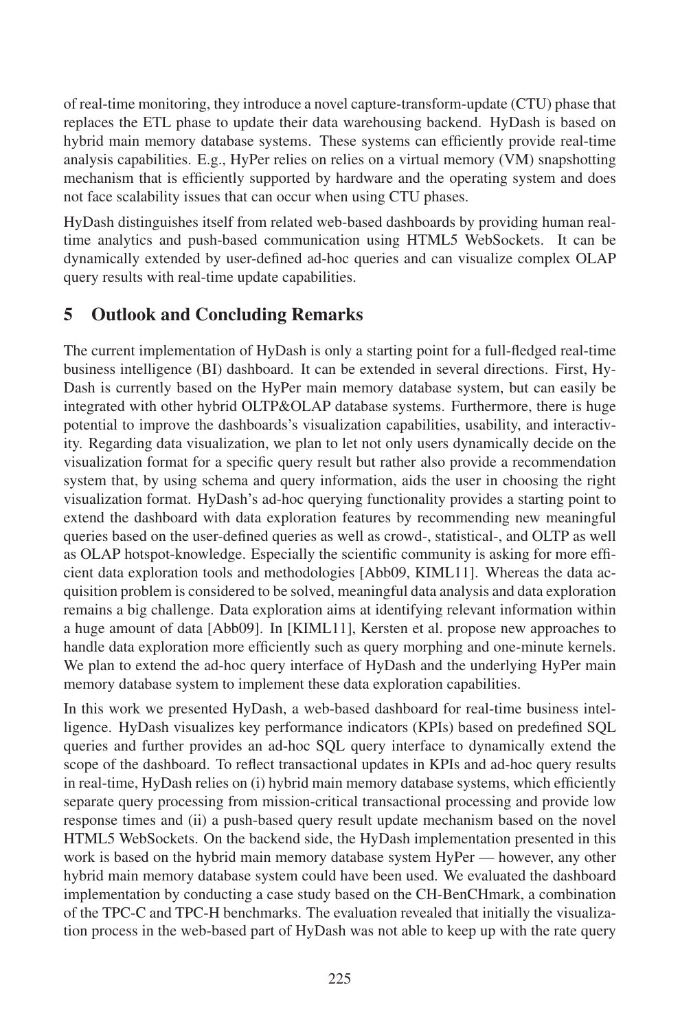of real-time monitoring, they introduce a novel capture-transform-update (CTU) phase that replaces the ETL phase to update their data warehousing backend. HyDash is based on hybrid main memory database systems. These systems can efficiently provide real-time analysis capabilities. E.g., HyPer relies on relies on a virtual memory (VM) snapshotting mechanism that is efficiently supported by hardware and the operating system and does not face scalability issues that can occur when using CTU phases.

HyDash distinguishes itself from related web-based dashboards by providing human realtime analytics and push-based communication using HTML5 WebSockets. It can be dynamically extended by user-defined ad-hoc queries and can visualize complex OLAP query results with real-time update capabilities.

#### 5 Outlook and Concluding Remarks

The current implementation of HyDash is only a starting point for a full-fledged real-time business intelligence (BI) dashboard. It can be extended in several directions. First, Hy-Dash is currently based on the HyPer main memory database system, but can easily be integrated with other hybrid OLTP&OLAP database systems. Furthermore, there is huge potential to improve the dashboards's visualization capabilities, usability, and interactivity. Regarding data visualization, we plan to let not only users dynamically decide on the visualization format for a specific query result but rather also provide a recommendation system that, by using schema and query information, aids the user in choosing the right visualization format. HyDash's ad-hoc querying functionality provides a starting point to extend the dashboard with data exploration features by recommending new meaningful queries based on the user-defined queries as well as crowd-, statistical-, and OLTP as well as OLAP hotspot-knowledge. Especially the scientific community is asking for more efficient data exploration tools and methodologies [Abb09, KIML11]. Whereas the data acquisition problem is considered to be solved, meaningful data analysis and data exploration remains a big challenge. Data exploration aims at identifying relevant information within a huge amount of data [Abb09]. In [KIML11], Kersten et al. propose new approaches to handle data exploration more efficiently such as query morphing and one-minute kernels. We plan to extend the ad-hoc query interface of HyDash and the underlying HyPer main memory database system to implement these data exploration capabilities.

In this work we presented HyDash, a web-based dashboard for real-time business intelligence. HyDash visualizes key performance indicators (KPIs) based on predefined SQL queries and further provides an ad-hoc SQL query interface to dynamically extend the scope of the dashboard. To reflect transactional updates in KPIs and ad-hoc query results in real-time, HyDash relies on (i) hybrid main memory database systems, which efficiently separate query processing from mission-critical transactional processing and provide low response times and (ii) a push-based query result update mechanism based on the novel HTML5 WebSockets. On the backend side, the HyDash implementation presented in this work is based on the hybrid main memory database system HyPer — however, any other hybrid main memory database system could have been used. We evaluated the dashboard implementation by conducting a case study based on the CH-BenCHmark, a combination of the TPC-C and TPC-H benchmarks. The evaluation revealed that initially the visualization process in the web-based part of HyDash was not able to keep up with the rate query